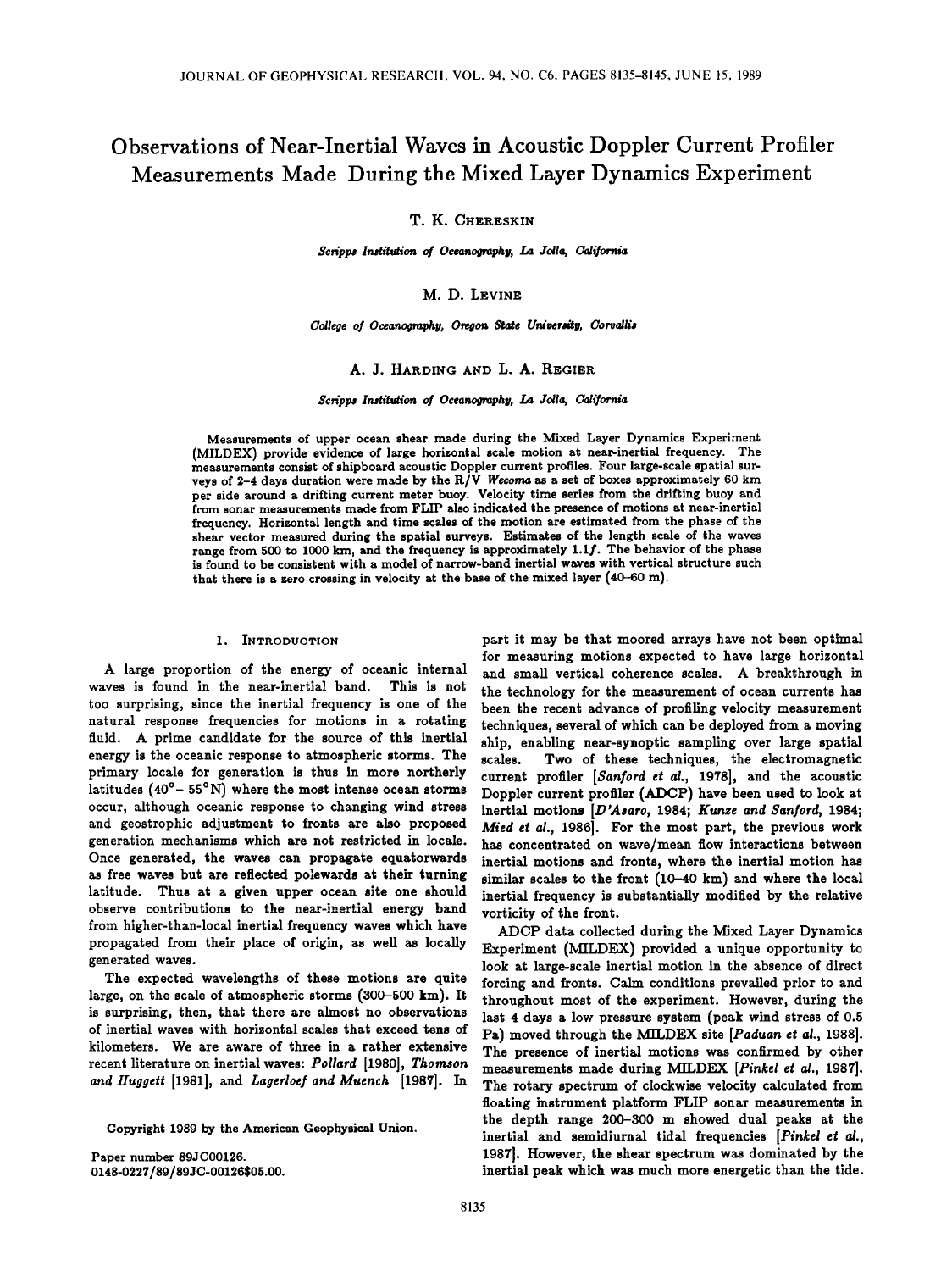# **Observations of Near-Inertial Waves in Acoustic Doppler Current Profiler Measurements Made During the Mixed Layer Dynamics Experiment**

**T. K. CHERESKIN** 

 $Scripps$  Institution of Oceanography, La Jolla, California

**M.D. LEWNE** 

College of Oceanography, Oregon State University, Corvallis

# **A. J. HARDING AND L. A. REGIER**

Scripps Institution of Oceanography, La Jolla, California

**Measurements of upper ocean shear made during the Mixed Layer Dynamics Experiment (MILDEX) provide evidence of large horizontal scale motion at near-inertial frequency. The measurements consist of shipboard acoustic Doppler current profiles. Four large-scale spatial sur**veys of 2-4 days duration were made by the R/V Wecoma as a set of boxes approximately 60 km per side around a drifting current meter buoy. Velocity time series from the drifting buoy and **from sonar measurements made from FLIP also indicated the presence of motions at near-inertial frequency. Horizontal length and time scales of the motion are estimated from the phase of the shear vector measured during the spatial surveys. Estimates of the length scale of the waves range from 500 to 1000 km, and the frequency is approximately 1.1f. The behavior of the phase is found to be consistent with a model of narrow-band inertial waves with vertical structure such that there is a zero crossing in velocity at the base of the mixed layer (40-60 m).** 

## **1. INTRODUCTION**

**A large proportion of the energy of oceanic internal waves is found in the near-inertial band. This is not too surprising, since the inertial frequency is one of the natural response frequencies for motions in a rotating fluid. A prime candidate for the source of this inertial energy is the oceanic response to atmospheric storms. The primary locale for generation is thus in more northerly**  latitudes (40<sup>°</sup> – 55<sup>°</sup>N) where the most intense ocean storms **occur, although oceanic response to changing wind stress and geostrophic adjustment to fronts are also proposed generation mechanisms which are not restricted in locale. Once generated, the waves can propagate equatorwards as free waves but are reflected polewards at their turning latitude. Thus at a given upper ocean site one should**  observe contributions to the near-inertial energy band **from higher-than-local inertial frequency waves which have propagated from their place of origin, as well as locally generated waves.** 

**The expected wavelengths of these motions are quite large, on the scale of atmospheric storms (300-500 km). It is surprising, then, that there are almost no observations of inertial waves with horizontal scales that exceed tens of kilometers. We are aware of three in a rather extensive recent literature on inertial waves: Pollard [1980], Thomson**  and Huggett [1981], and *Lagerloef and Muench* [1987]. In

**Copyright 1989 by the American Geophysical Union.** 

**Paper number 89JC00126. 0148-0227/89/89JC-00126505.00.** 

**part it may be that moored arrays have not been optimal for measuring motions expected to have large horizontal and small vertical coherence scales. A breakthrough in the technology for the measurement of ocean currents has been the recent advance of profiling velocity measurement techniques, several of which can be deployed from a moving ship, enabling near-synoptic sampling over large spatial scales. Two of these techniques, the electromagnetic current profiler [Sanford et al., 1978], and the acoustic Doppler current profiler (ADCP) have been used to look at inertial motions [D'Asaro, 1984; Kunze and Sanford, 1984; Mied et al., 1986]. For the most part, the previous work has concentrated on wave/mean flow interactions between inertial motions and fronts, where the inertial motion has similar scales to the front (10-40 km) and where the local inertial frequency is substantially modified by the relative vorticity of the front.** 

**ADCP data collected during the Mixed Layer Dynamics Experiment (MILDEX) provided a unique opportunity tc look at large-scale inertial motion in the absence of direct forcing and fronts. Calm conditions prevailed prior to and throughout most of the experiment. However, during the last 4 days a low pressure system (peak wind stress of 0.5 Pa) moved through the MILDEX site [Paduan et al., 1988]. The presence of inertial motions was confirmed by other measurements made during MILDEX [Pinkel et al., 1987]. The rotary spectrum of clockwise velocity calculated from floating instrument platform FLIP sonar measurements in the depth range 200-300 m showed dual peaks at the inertial and semidiurnal tidal frequencies [Pinkel et al., 1987]. However, the shear spectrum was dominated by the inertial peak which was much more energetic than the tide.**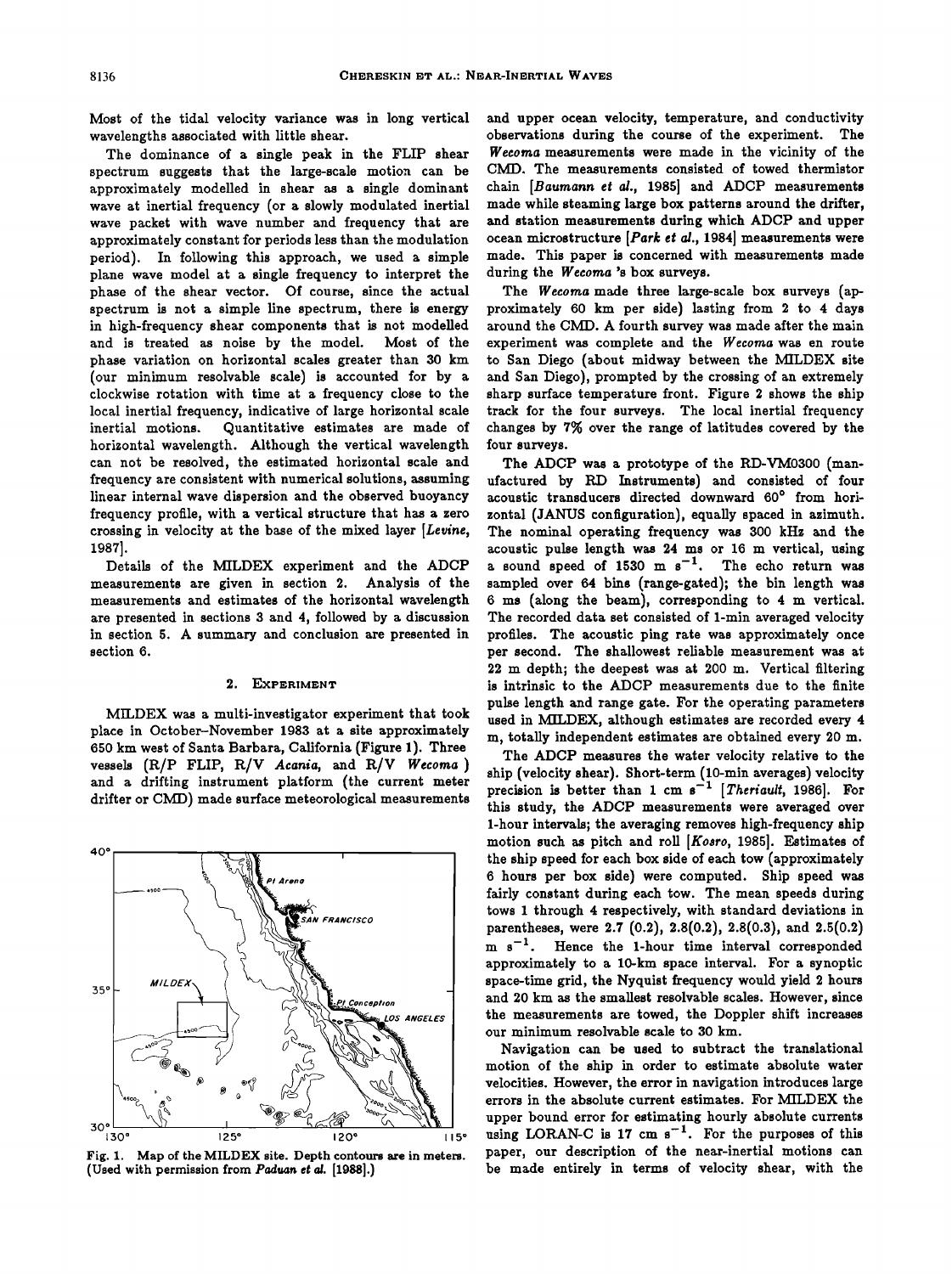**Most of the tidal velocity variance was in long vertical wavelengths associated with little shear.** 

**The dominance of a single peak in the FLIP shear spectrum suggests that the large-scale motion can be approximately modelled in shear as a single dominant wave at inertial frequency (or a slowly modulated inertial wave packet with wave number and frequency that are approximately constant for periods less than the modulation period). In following this approach, we used a simple plane wave model at a single frequency to interpret the phase of the shear vector. Of course, since the actual spectrum is not a simple line spectrum, there is energy in high-frequency shear components that is not modelled and is treated as noise by the model. Most of the phase variation on horizontal scales greater than 30 km (our minimum resolvable scale) is accounted for by a clockwise rotation with time at a frequency close to the local inertial frequency, indicative of large horizontal scale inertial motions. Quantitative estimates are made of horizontal wavelength. Although the vertical wavelength can not be resolved, the estimated horizontal scale and frequency are consistent with numerical solutions, assuming linear internal wave dispersion and the observed buoyancy frequency profile, with a vertical structure that has a zero crossing in velocity at the base of the mixed layer [Levine, 1987].** 

**Details of the MILDEX experiment and the ADCP measurements are given in section 2. Analysis of the measurements and estimates of the horizontal wavelength are presented in sections 3 and 4, followed by a discussion in section 5. A summary and conclusion are presented in section 6.** 

## **2. EXPERIMENT**

**MILDEX was a multi-investigator experiment that took place in October-November 1983 at a site approximately 650 km west of Santa Barbara, California (Figure 1). Three**  vessels (R/P FLIP, R/V Acania, and R/V Wecoma) **and a drifting instrument platform (the current meter drifter or CMD) made surface meteorological measurements** 



Fig. 1. Map of the MILDEX site. Depth contours are in meters. (Used with permission from Paduan et al. [1988].)

**and upper ocean velocity, temperature, and conductivity observations during the course of the experiment. The We½oma measurements were made in the vicinity of the CMD. The measurements consisted of towed thermistor chain [Baumann et al., 1985] and ADCP measurements made while steaming large box patterns around the drifter, and station measurements during which ADCP and upper ocean microstructure [Park eta/., 1984] measurements were made. This paper is concerned with measurements made during the Wecoma's box surveys.** 

**The Wecoma made three large-scale box surveys (approximately 60 km per side) lasting from 2 to 4 days around the CMI). A fourth survey was made after the main experiment was complete and the Wecoma was en route to San Diego (about midway between the MILDEX site and San Diego), prompted by the crossing of an extremely sharp surface temperature front. Figure 2 shows the ship track for the four surveys. The local inertial frequency changes by 7% over the range of latitudes covered by the four surveys.** 

**The ADCP was a prototype of the RD-VM0300 (manufactured by RD Instruments) and consisted of four**  acoustic transducers directed downward 60° from hori**zontal (JANUS configuration), equally spaced in azimuth. The nominal operating frequency was 300 kHz and the acoustic pulse length was 24 ms or 16 m vertical, using**   $a$  sound speed of 1530 m  $s^{-1}$ . The echo return was **sampled over 64 bins (range-gated); the bin length was 6 ms (along the beam), corresponding to 4 m vertical.**  The recorded data set consisted of 1-min averaged velocity **profiles. The acoustic ping rate was approximately once per second. The shallowest reliable measurement was at 22 m depth; the deepest was at 200 m. Vertical filtering is intrinsic to the ADCP measurements due to the finite pulse length and range gate. For the operating parameters used in MILDEX, although estimates are recorded every 4 m, totally independent estimates are obtained every 20 m.** 

**The ADCP measures the water velocity relative to the**  ship (velocity shear). Short-term (10-min averages) velocity precision is better than 1 cm s<sup>-1</sup> [Theriault, 1986]. For **this study, the ADCP measurements were averaged over 1-hour intervals; the averaging removes high-frequency ship motion such as pitch and roll [Kosro, 1985]. Estimates of the ship speed for each box side of each tow (approximately 6 hours per box side) were computed. Ship speed was fairly constant during each tow. The mean speeds during tows 1 through 4 respectively, with standard deviations in parentheses, were 2.7 (0.2), 2.8(0.2), 2.8(0.3), and 2.5(0.2)**  m s<sup>-1</sup>. Hence the 1-hour time interval corresponded **approximately to a 10-kin space interval. For a synoptic space-time grid, the Nyquist frequency would yield 2 hours and 20 km as the smallest resolvable scales. However, since the measurements are towed, the Doppler shift increases our minimum resolvable scale to 30 kin.** 

**Navigation can be used to subtract the translational motion of the ship in order to estimate absolute water velocities. However, the error in navigation introduces large errors in the absolute current estimates. For MILDEX the upper bound error for estimating hourly absolute currents**  using LORAN-C is  $17 \text{ cm s}^{-1}$ . For the purposes of this **paper, our description of the near-inertial motions can be made entirely in terms of velocity shear, with the**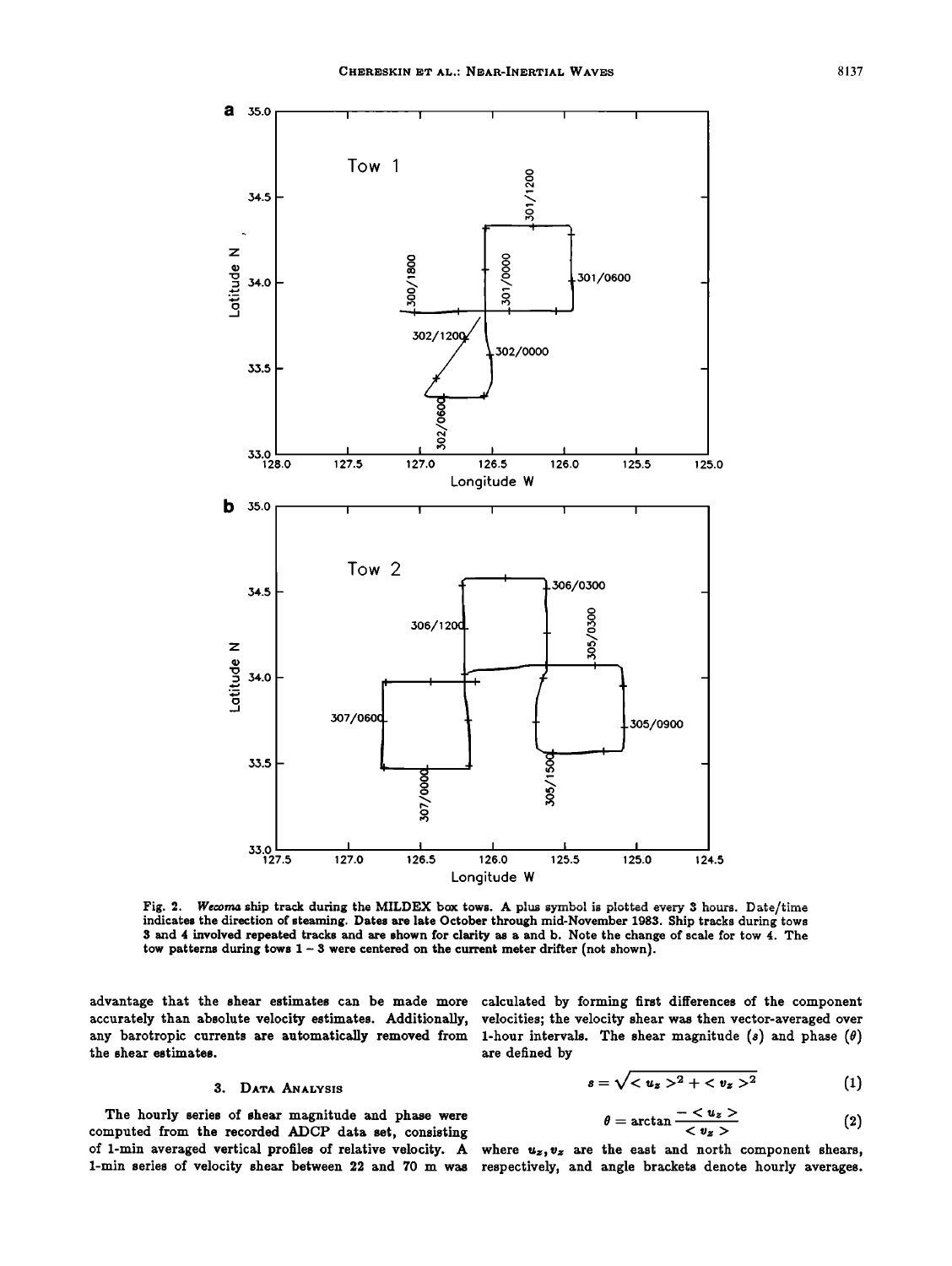

Fig. 2. Wecoma ship track during the MILDEX box tows. A plus symbol is plotted every 3 hours. Date/time **indicates the direction of steaming. Dates are late October through mid-November 1983. Ship tracks during tows 3 and 4 involved repeated tracks and are shown for clarity as a and b. Note the change of scale for tow 4. The**  tow patterns during tows  $1 - 3$  were centered on the current meter drifter (not shown).

the shear estimates.

# 3. DATA ANALYSIS

The hourly series of shear magnitude and phase were  $\theta = \arctan \frac{1 - u_z}{\sqrt{v_z}}$  (2) of 1-min averaged vertical profiles of relative velocity. A where  $u_z, v_z$  are the east and north component shears,

**advantage that the shear estimates can be made more calculated by forming first differences of the component**  accurately than absolute velocity estimates. Additionally, velocities; the velocity shear was then vector-averaged over<br>any barotropic currents are automatically removed from 1-hour intervals. The shear magnitude (s) and 1-hour intervals. The shear magnitude  $(s)$  and phase  $(\theta)$  are defined by

$$
s = \sqrt{^2 + ^2}
$$
 (1)

$$
\theta = \arctan \frac{-\langle u_z \rangle}{\langle v_z \rangle} \tag{2}
$$

**1-min series of velocity shear between 22 and 70 m was respectively, and angle brackets denote hourly averages.**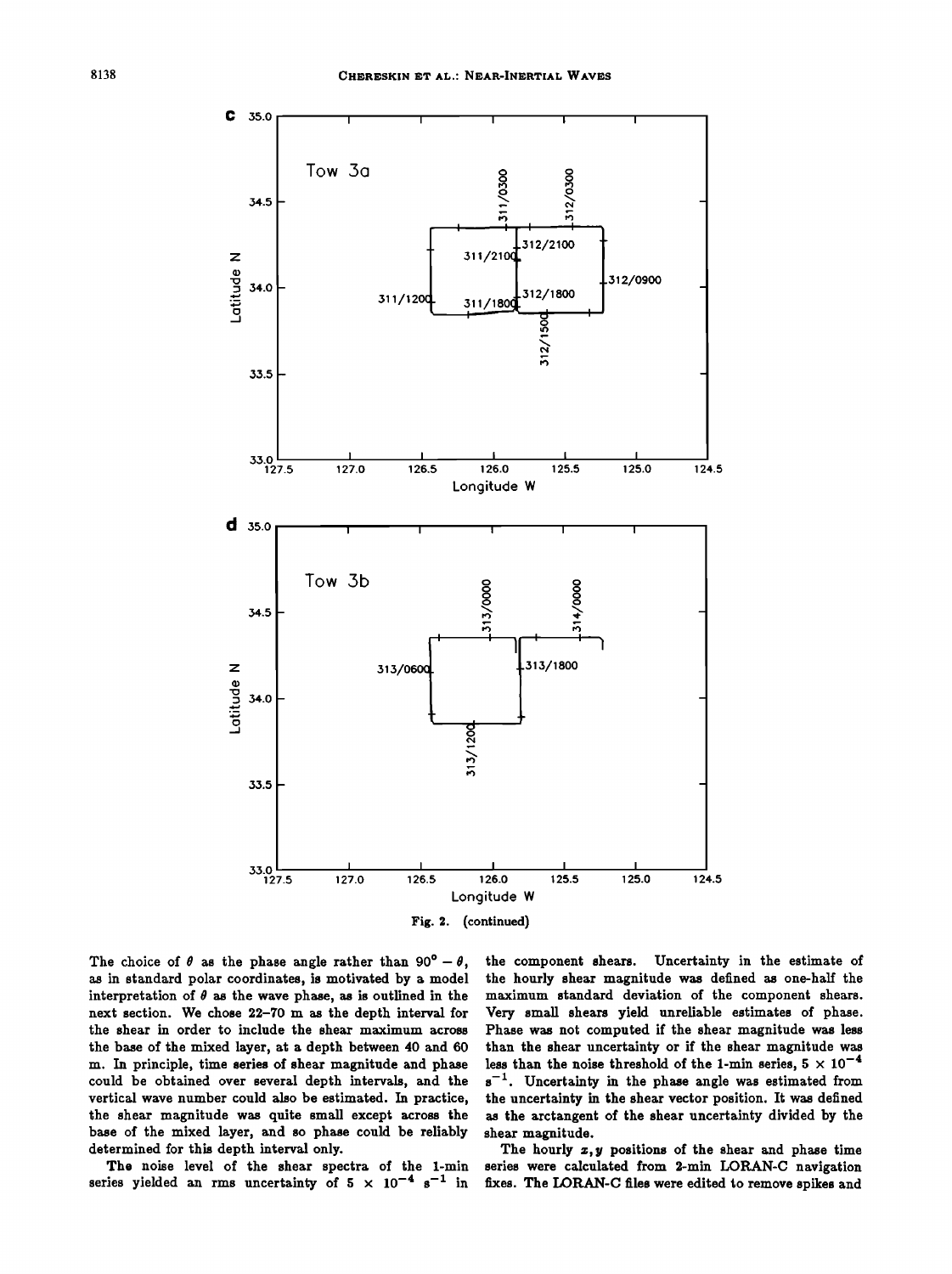

The choice of  $\theta$  as the phase angle rather than 90° -  $\theta$ , **as in standard polar coordinates, is motivated by a model**  interpretation of  $\theta$  as the wave phase, as is outlined in the **next section. We chose 22-70 m as the depth interval for the shear in order to include the shear maximum across the base of the mixed layer, at a depth between 40 and 60 m. In principle, time series of shear magnitude and phase could be obtained over several depth intervals, and the vertical wave number could also be estimated. In practice, the shear magnitude was quite small except across the base of the mixed layer, and so phase could be reliably determined for this depth interval only.** 

**The noise level of the shear spectra of the 1-min**  series yielded an rms uncertainty of  $5 \times 10^{-4} \text{ s}^{-1}$  in **the component shears. Uncertainty in the estimate of the hourly shear magnitude was defined as one-half the maximum standard deviation of the component shears. Very small shears yield unreliable estimates of phase. Phase was not computed if the shear magnitude was less than the shear uncertainty or if the shear magnitude was**  less than the noise threshold of the 1-min series,  $5 \times 10^{-4}$  $s^{-1}$ . Uncertainty in the phase angle was estimated from **the uncertainty in the shear vector position. It was defined as the arctangent of the shear uncertainty divided by the shear magnitude.** 

The hourly  $x, y$  positions of the shear and phase time **series were calculated from 3-min LORAN-C navigation fixes. The LORAN-C files were edited to remove spikes and**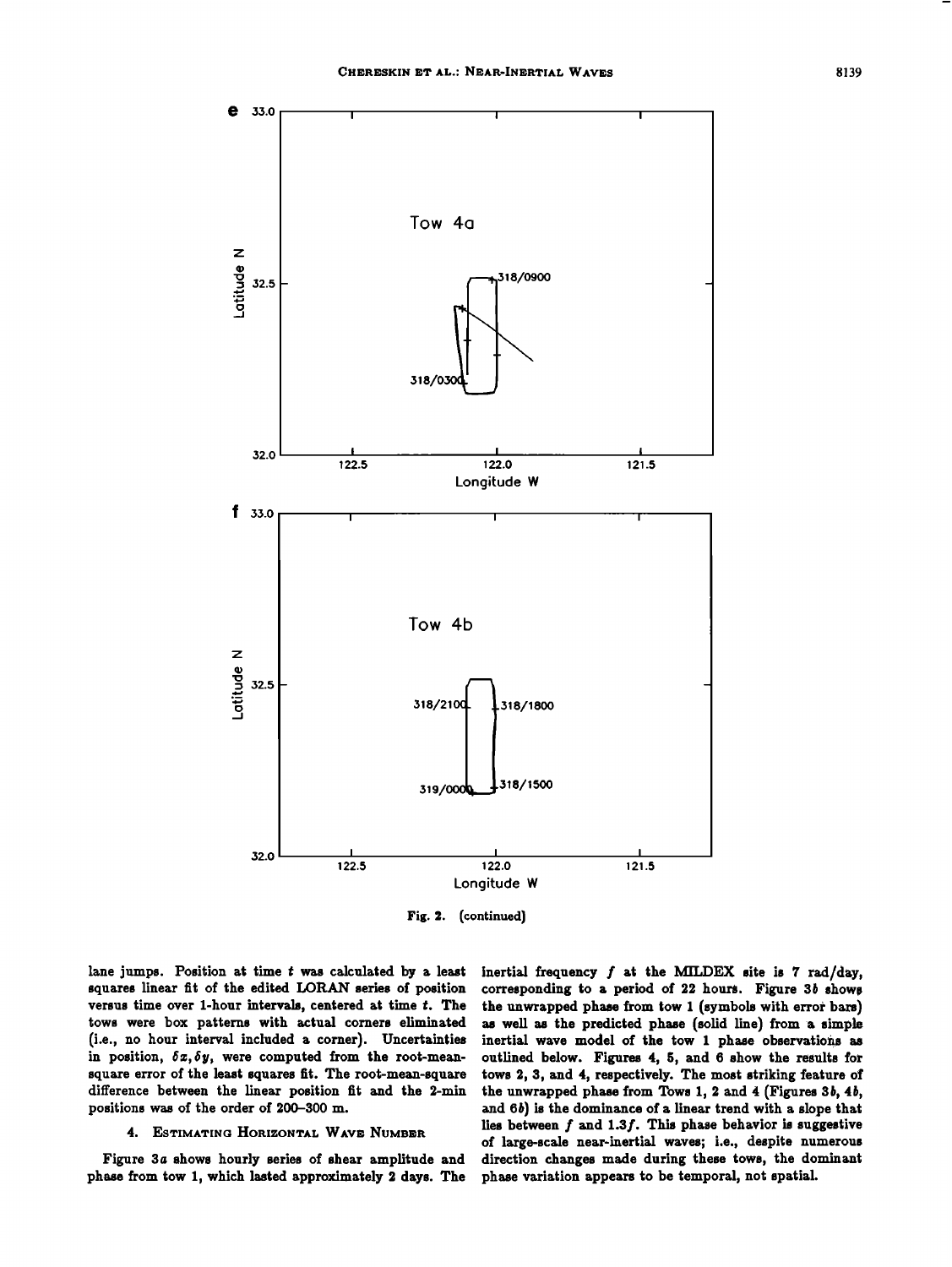

**Fig. (continued)** 

**lane jumps. Position at time t was calculated by a least**  squares linear fit of the edited LORAN series of position **versus time over 1-hour intervals, centered at time t. The tows were box patterns with actual corners eliminated (i.e., no hour interval included a corner). Uncertainties in position, 6z,6y, were computed from the root-mean**square error of the least squares fit. The root-mean-square **difference between the linear position fit and the 3-min positions was of the order of 200-300 m.** 

## **4. ESTIMATING HORIZONTAL WAVE NUMBER**

Figure 3a shows hourly series of shear amplitude and **phase from tow 1, which lasted approximately 3 days. The**  inertial frequency  $f$  at the MILDEX site is  $7$  rad/day, **corresponding to a period of 33 hours, Figure 3/• shows the unwrapped phase from tow 1 (symbols'with error bars) as well as the predicted phase (solid line) from a simple inertial wave model of the tow 1 phase' observations as outlined below. Figures 4, 5, and 6 show the results for tows 3, 3, and 4, respectively. The most striking feature of**  the unwrapped phase from Tows 1, 2 and 4 (Figures 3b, 4b, and  $6b$ ) is the dominance of a linear trend with a slope that **lies between f and 1.3f. This phase behavior is suggestive of large-scale near-inertial waves; i.e., despite numerous direction changes made during these tows, the dominant phase variation appears to be temporal, not spatial.**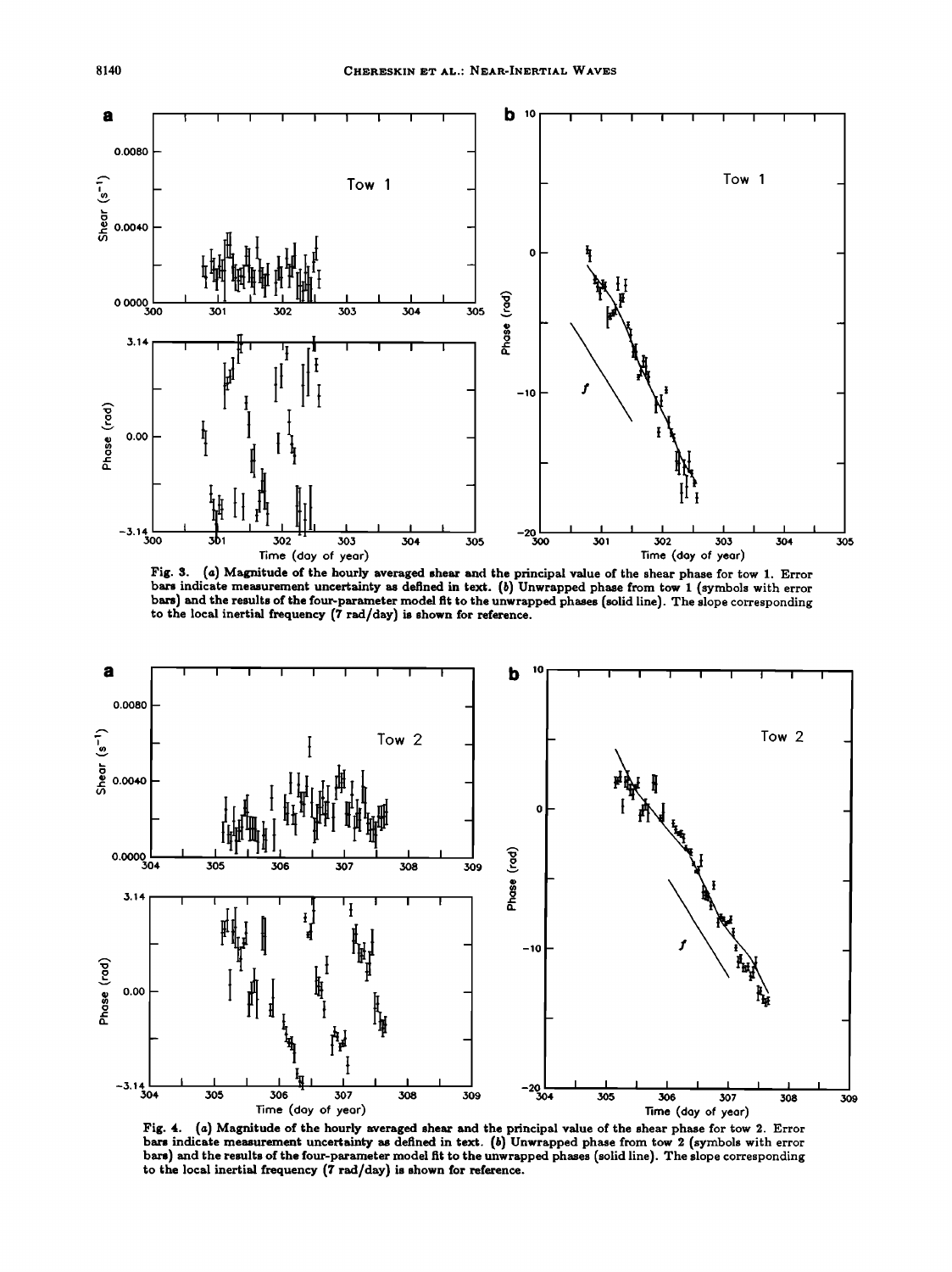

**Fig. 3. (a) Magnitude of the hourly averaged shear and the principal value of the shear phase for tow 1. Error bars indicate measurement uncertainty as defined in text. (b) Unwrapped phase from tow 1 (symbols with error bars) and the results of the four-parameter model fit to the unwrapped phases (solid line). The slope corresponding to the local inertial frequency (7 tad/day) is shown for reference.** 



**Fig. 4. (a) Magnitude of the hourly averaged shear and the principal value of the shear phase for tow 2. Error bar• indicate measurement uncertainty as defined in text. (b) Unwrapped phase from tow 2 (symbols with error bars) and the results of the four-parameter model fit to the unwrapped phases (solid line). The slope corresponding to the local inertial frequency (7 tad/day) is shown for reference.**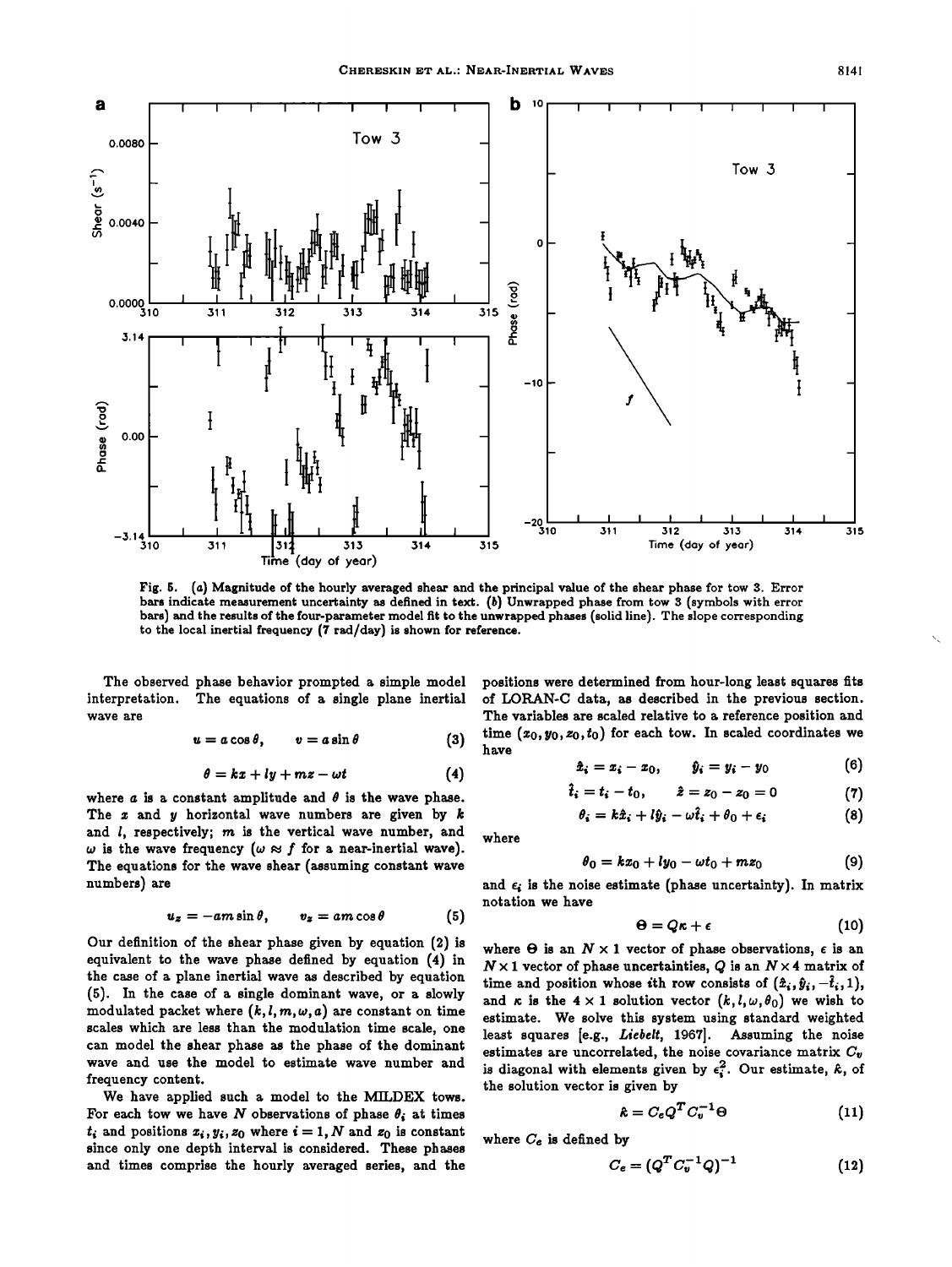

**Fig. 5. (a) Magnitude of the hourly averaged shear and the principal value of the shear phase for tow 3. Error bars indicate measurement uncertainty as defined in text. (b) Unwrapped phase from tow 3 (symbols with error bars) and the results of the four-parameter model fit to the unwrapped phases (solid line). The slope corresponding to the local inertial frequency (7 rad/day) is shown for reference.** 

**The observed phase behavior prompted a simple model interpretation. The equations of a single plane inertial wave are** 

$$
u = a \cos \theta, \qquad v = a \sin \theta \qquad (3)
$$

$$
\theta = kx + ly + mz - \omega t \tag{4}
$$

where  $a$  is a constant amplitude and  $\theta$  is the wave phase. **The z and y horizontal wave numbers are given by k and l, respectively; m is the vertical wave number, and**   $\omega$  is the wave frequency ( $\omega \approx f$  for a near-inertial wave). **The equations for the wave shear (assuming constant wave numbers) are** 

$$
u_z = -am\sin\theta, \qquad v_z = am\cos\theta \qquad (5)
$$

**Our definition of the shear phase given by equation (2) is equivalent to the wave phase defined by equation (4) in the case of a plane inertial wave as described by equation (5). In the case of a single dominant wave, or a slowly**  modulated packet where  $(k, l, m, \omega, a)$  are constant on time **scales which are less than the modulation time scale, one can model the shear phase as the phase of the dominant wave and use the model to estimate wave number and frequency content.** 

**We have applied such a model to the MILDEX tows.**  For each tow we have  $N$  observations of phase  $\theta_i$  at times  $t_i$  and positions  $x_i, y_i, z_0$  where  $i = 1, N$  and  $z_0$  is constant **since only one depth interval is considered. These phases and times comprise the hourly averaged series, and the** 

**positions were determined from hour-long least squares fits of LORAN-C data, as described in the previous section. The variables are scaled relative to a reference position and time (zo, yo,zo,to) for each tow. In scaled coordinates we have** 

$$
\hat{x}_i = x_i - x_0, \qquad \hat{y}_i = y_i - y_0 \tag{6}
$$

$$
\ddot{t}_i = t_i - t_0, \qquad \hat{z} = z_0 - z_0 = 0 \tag{7}
$$

$$
\theta_i = k\hat{x}_i + l\hat{y}_i - \omega \hat{t}_i + \theta_0 + \epsilon_i \tag{8}
$$

**where** 

$$
\theta_0 = kx_0 + ly_0 - \omega t_0 + mz_0 \qquad \qquad (9)
$$

and  $\epsilon_i$  is the noise estimate (phase uncertainty). In matrix **notation we have** 

$$
\Theta = Q\kappa + \epsilon \tag{10}
$$

where  $\Theta$  is an  $N \times 1$  vector of phase observations,  $\epsilon$  is an  $N \times 1$  vector of phase uncertainties, Q is an  $N \times 4$  matrix of time and position whose ith row consists of  $(\hat{x}_i, \hat{y}_i, -\hat{t}_i, 1)$ , and  $\kappa$  is the  $4 \times 1$  solution vector  $(k, l, \omega, \theta_0)$  we wish to **estimate. We solve this system using standard weighted least squares [e.g., Liebelt, 1967]. Assuming the noise**  estimates are uncorrelated, the noise covariance matrix  $C_v$ is diagonal with elements given by  $\epsilon_i^2$ . Our estimate,  $\hat{\kappa}$ , of **the solution vector is given by** 

$$
\hat{\boldsymbol{\kappa}} = C_e Q^T C_v^{-1} \Theta \tag{11}
$$

**where Ce is defined by** 

$$
C_e = (Q^T C_v^{-1} Q)^{-1}
$$
 (12)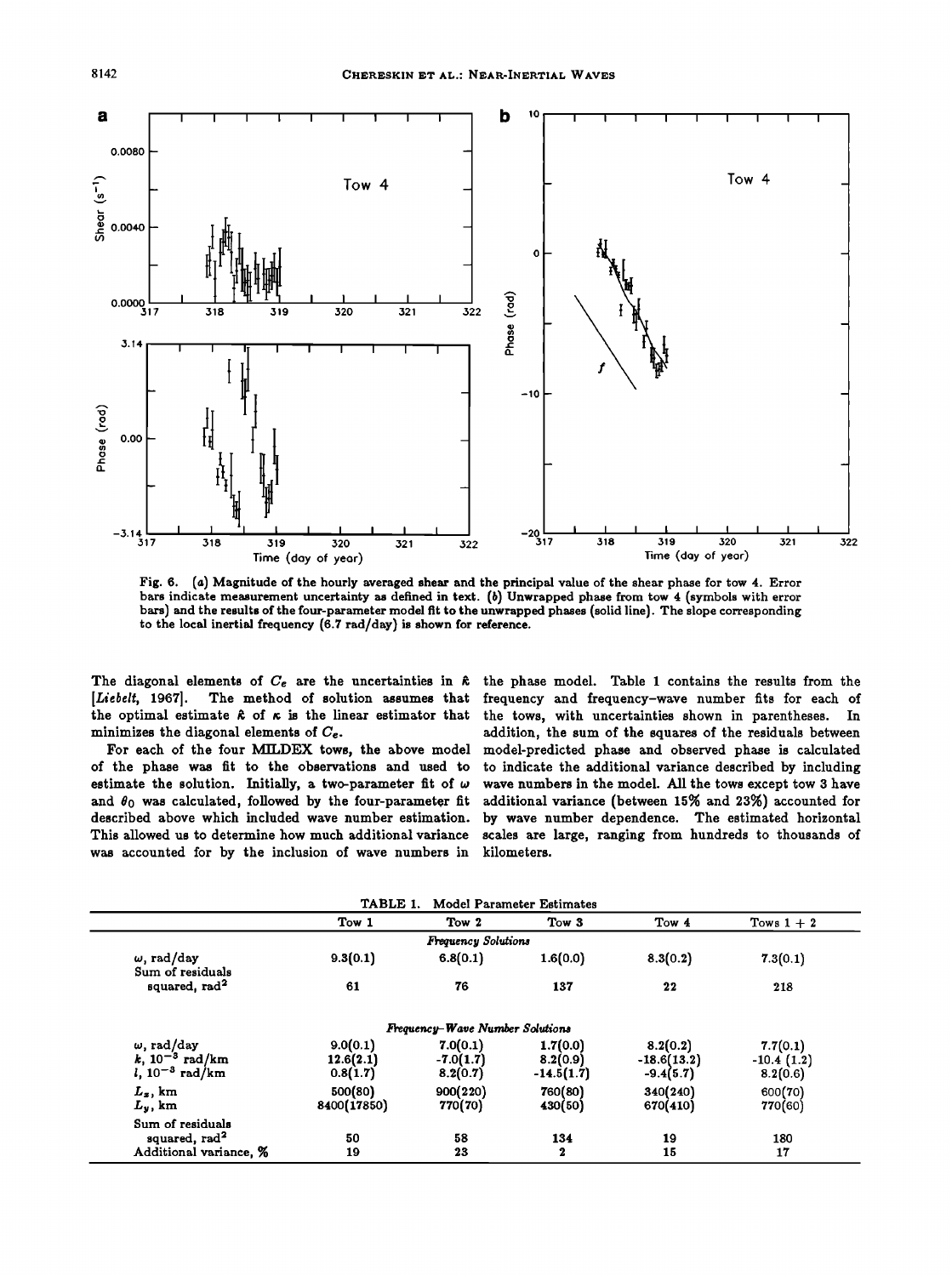

**Fig. 6. (a) Magnitude of the hourly averaged shear and the principal value of the shear phase for tow 4. Error bars indicate measurement uncertainty as defined in text. (b) Unwrapped phase from tow 4 (symbols with error bars) and the results of the four-parameter model fit to the unwrapped phases (solid line). The slope corresponding to the local inertial frequency (6.7 rad/day) is shown for reference.** 

The diagonal elements of  $C_e$  are the uncertainties in  $\hat{\kappa}$  the phase model. Table 1 contains the results from the <br>[Liebelt, 1967]. The method of solution assumes that frequency and frequency-wave number fits for eac **(Liebelt, 1967]. The method of solution assumes that frequency and frequency-wave number fits for each of**  the optimal estimate  $\hat{\kappa}$  of  $\kappa$  is the linear estimator that the tows, with uncertainties shown in parentheses. In minimizes the diagonal elements of  $C_e$ . addition, the sum of the squares of the residuals between

estimate the solution. Initially, a two-parameter fit of  $\omega$  and  $\theta_0$  was calculated, followed by the four-parameter fit and  $\theta_0$  was calculated, followed by the four-parameter fit additional variance (between 15% and 23%) accounted for<br>described above which included wave number estimation. by wave number dependence. The estimated horizon described above which included wave number estimation. by wave number dependence. The estimated horizontal This allowed us to determine how much additional variance scales are large, ranging from hundreds to thousands of **was accounted for by the inclusion of wave numbers in kilometers.** 

inimizes the diagonal elements of  $C_e$ .<br>For each of the four MILDEX tows, the above model model-predicted phase and observed phase is calculated For each of the four MILDEX tows, the above model model-predicted phase and observed phase is calculated of the phase was fit to the observations and used to to indicate the additional variance described by including to indicate the additional variance described by including wave numbers in the model. All the tows except tow 3 have scales are large, ranging from hundreds to thousands of

| Model Parameter Estimates<br>TABLE 1. |             |                                 |                  |               |              |  |
|---------------------------------------|-------------|---------------------------------|------------------|---------------|--------------|--|
|                                       | Tow 1       | Tow 2                           | Tow 3            | Tow 4         | Tows $1+2$   |  |
|                                       |             | <b>Frequency Solutions</b>      |                  |               |              |  |
| $\omega$ , rad/day                    | 9.3(0.1)    | 6.8(0.1)                        | 1.6(0.0)         | 8.3(0.2)      | 7.3(0.1)     |  |
| Sum of residuals                      |             |                                 |                  |               |              |  |
| squared, rad <sup>2</sup>             | 61          | 76                              | 137              | 22            | 218          |  |
|                                       |             | Frequency-Wave Number Solutions |                  |               |              |  |
| $\omega$ , rad/day                    | 9.0(0.1)    | 7.0(0.1)                        | 1.7(0.0)         | 8.2(0.2)      | 7.7(0.1)     |  |
| <i>k</i> , $10^{-3}$ rad/km           | 12.6(2.1)   | $-7.0(1.7)$                     | 8.2(0.9)         | $-18.6(13.2)$ | $-10.4(1.2)$ |  |
| <i>l</i> , $10^{-3}$ rad/km           | 0.8(1.7)    | 8.2(0.7)                        | $-14.5(1.7)$     | $-9.4(5.7)$   | 8.2(0.6)     |  |
| $L_z$ , km                            | 500(80)     | 900(220)                        | 760(80)          | 340(240)      | 600(70)      |  |
| $L_y$ , km                            | 8400(17850) | 770(70)                         | 430(50)          | 670(410)      | 770(60)      |  |
| Sum of residuals                      |             |                                 |                  |               |              |  |
| squared, rad <sup>2</sup>             | 50          | 58                              | 134              | 19            | 180          |  |
| Additional variance, %                | 19          | 23                              | $\boldsymbol{2}$ | 15            | 17           |  |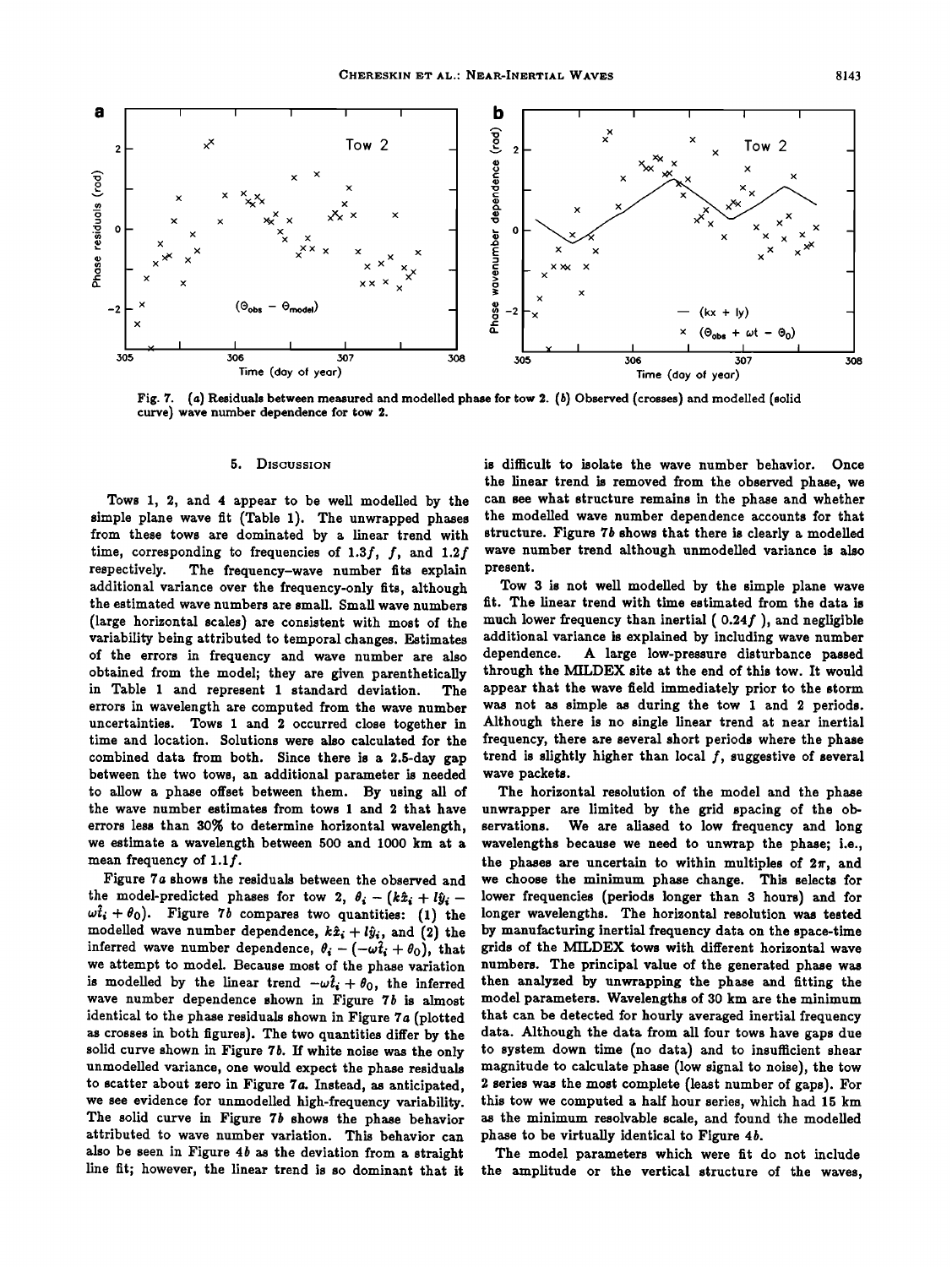

**Fig. 7. (a) Residuals between measured and modelled phase for tow 2. (b) Observed (crosses) and modelled (solid curve) wave number dependence for tow 2.** 

## **5. Discussion**

**Tows 1, 2, and 4 appear to be well modelled by the simple plane wave fit (Table 1). The unwrapped phases from these tows are dominated by a linear trend with**  time, corresponding to frequencies of 1.3f, f, and 1.2f respectively. The frequency-wave number fits explain The frequency-wave number fits explain **additional variance over the frequency-only fits, although the estimated wave numbers are small. Small wave numbers (large horizontal scales) are consistent with most of the variability being attributed to temporal changes. Estimates of the errors in frequency and wave number are also obtained from the model; they are given parenthetically in Table 1 and represent 1 standard deviation. The errors in wavelength are computed from the wave number uncertainties. Tows 1 and 2 occurred close together in time and location. Solutions were also calculated for the combined data from both. Since there is a 2.5-day gap between the two tows, an additional parameter is needed to allow a phase offset between them. By using all of the wave number estimates from tows 1 and 2 that have errors less than 30% to determine horizontal wavelength, we estimate a wavelength between 500 and 1000 km at a mean frequency of 1.1f.** 

Figure 7a shows the residuals between the observed and the model-predicted phases for tow 2,  $\theta_i - (k\hat{x}_i + l\hat{y}_i - j\hat{y}_i)$  $\omega t_i + \theta_0$ ). Figure 7b compares two quantities: (1) the modelled wave number dependence,  $k\hat{x}_i + l\hat{y}_i$ , and (2) the inferred wave number dependence,  $\theta_i - (-\omega t_i + \theta_0)$ , that **we attempt to model. Because most of the phase variation**  is modelled by the linear trend  $-\omega \hat{t}_i + \theta_0$ , the inferred **wave number dependence shown in Figure 7b is almost identical to the phase residuals shown in Figure 7a (plotted as crosses in both figures). The two quantities differ by the solid curve shown in Figure 7b. If white noise was the only unmodelled variance, one would expect the phase residuals to scatter about zero in Figure 7a. Instead, as anticipated, we see evidence for unmodelled high-frequency variability. The solid curve in Figure 7b shows the phase behavior attributed to wave number variation. This behavior can also be seen in Figure 4b as the deviation from a straight line fit; however, the linear trend is so dominant that it** 

**is difficult to isolate the wave number behavior. Once the linear trend is removed from the observed phase, we can see what structure remains in the phase and whether the modelled wave number dependence accounts for that structure. Figure 7b shows that there is clearly a modelled wave number trend although unmodelled variance is also present.** 

**Tow 3 is not well modelled by the simple plane wave fit. The linear trend with time estimated from the data is much lower frequency than inertial ( 0.24f ), and negligible additional variance is explained by including wave number dependence. A large low-pressure disturbance passed through the MILDEX site at the end of this tow. It would appear that the wave field immediately prior to the storm was not as simple as during the tow 1 and 2 periods. Although there is no single linear trend at near inertial frequency, there are several short periods where the phase trend is slightly higher than local f, suggestive of several wave packets.** 

**The horizontal resolution of the model and the phase unwrapper are limited by the grid spacing of the ob-**We are aliased to low frequency and long **wavelengths because we need to unwrap the phase; i.e.,**  the phases are uncertain to within multiples of  $2\pi$ , and **we choose the minimum phase change. This selects for lower frequencies (periods longer than 3 hours) and for longer wavelengths. The horizontal resolution was tested by manufacturing inertial frequency data on the space-time grids of the MILDEX tows with different horizontal wave numbers. The principal value of the generated phase was then analyzed by unwrapping the phase and fitting the model parameters. Wavelengths of 30 km are the minimum that can be detected for hourly averaged inertial frequency data. Although the data from all four tows have gaps due to system down time (no data) and to insufficient shear magnitude to calculate phase (low signal to noise), the tow 2 series was the most complete (least number of gaps). For this tow we computed a half hour series, which had 15 km as the minimum resolvable scale, and found the modelled phase to be virtually identical to Figure 4b.** 

**The model parameters which were fit do not include the amplitude or the vertical structure of the waves,**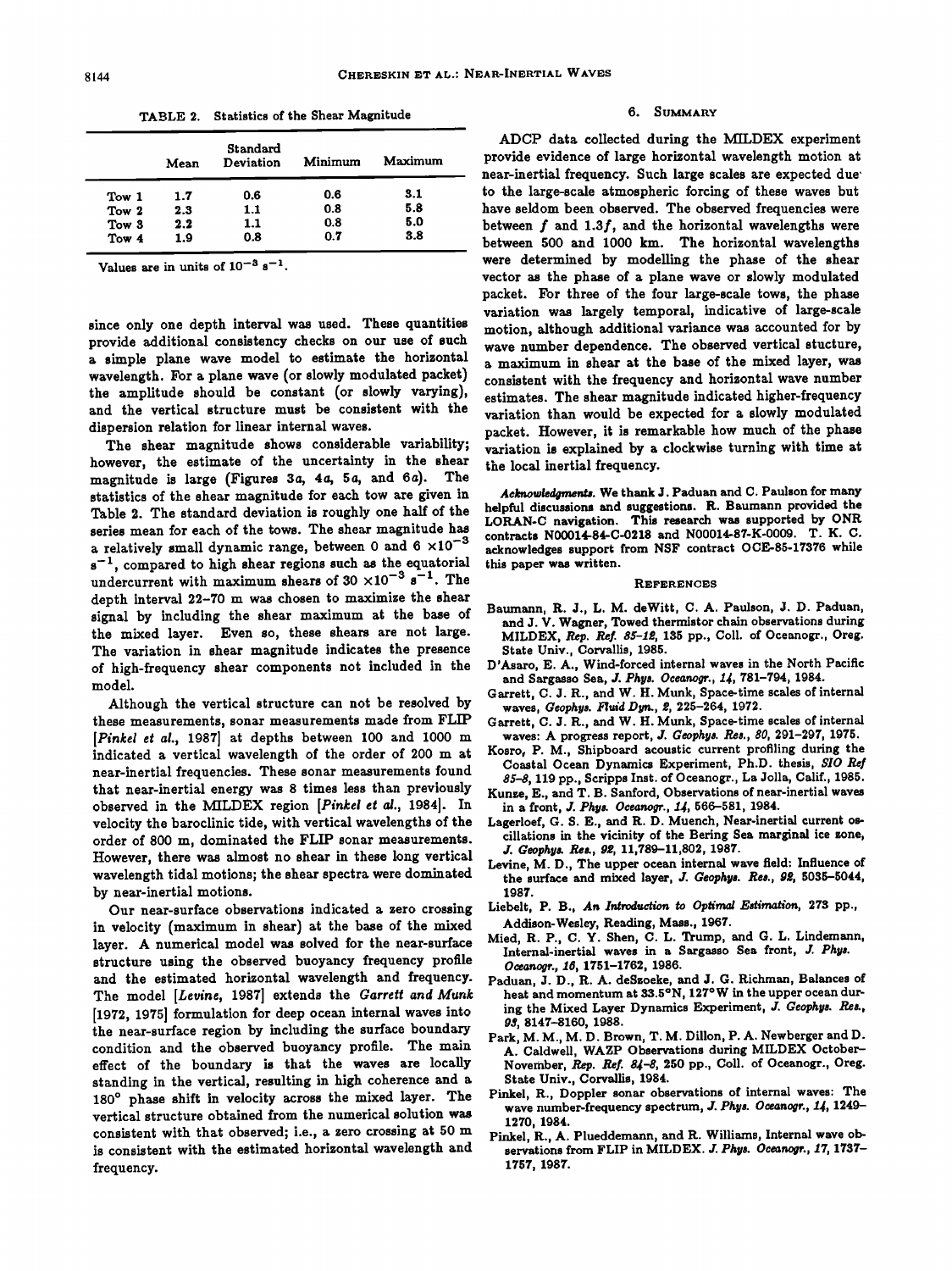|       | Mean | Standard<br>Deviation | Minimum | Maximum |
|-------|------|-----------------------|---------|---------|
| Tow 1 | 1.7  | 0.6                   | 0.6     | 3.1     |
| Tow 2 | 2.3  | 1.1                   | 0.8     | 5.8     |
| Tow 3 | 2.2  | 1.1                   | 0.8     | 5.0     |
| Tow 4 | 1.9  | 0.8                   | 0.7     | 3.8     |

**TABLE 2. Statistics of the Shear Magnitude** 

Values are in units of  $10^{-3}$  s<sup>-1</sup>.

**since only one depth interval was used. These quantities provide additional consistency checks on our use of such a simple plane wave model to estimate the horizontal wavelength. For a plane wave (or slowly modulated packet) the amplitude should be constant (or slowly varying), and the vertical structure must be consistent with the dispersion relation for linear internal waves.** 

**The shear magnitude shows considerable variability; however, the estimate of the uncertainty in the shear magnitude is large (Figures 3a, 4a, 5a, and 6a). The statistics of the shear magnitude for each tow are given in Table 2. The standard deviation is roughly one half of the series mean for each of the tows. The shear magnitude has**  a relatively small dynamic range, between 0 and  $6 \times 10^{-3}$  $s^{-1}$ , compared to high shear regions such as the equatorial undercurrent with maximum shears of  $30 \times 10^{-3}$  s<sup>-1</sup>. The **depth interval 22-70 m was chosen to maximize the shear signal by including the shear maximum at the base of the mixed layer. Even so, these shears are not large. The variation in shear magnitude indicates the presence of high-frequency shear components not included in the model.** 

**Although the vertical structure can not be resolved by these measurements, sonar measurements made from FLIP [Pinkel et al., 1987] at depths between 100 and 1000 m indicated a vertical wavelength of the order of 200 m at near-inertial frequencies. These sonar measurements found that near-inertial energy was 8 times less than previously observed in the MILDEX region [Pinkel et al., 1984]. In velocity the baroclinic tide, with vertical wavelengths of the order of 800 m, dominated the FLIP sonar measurements. However, there was almost no shear in these long vertical wavelength tidal motions; the shear spectra were dominated by near-inertial motions.** 

**Our near-surface observations indicated a zero crossing in velocity (maximum in shear) at the base of the mixed layer. A numerical model was solved for the near-surface structure using the observed buoyancy frequency profile and the estimated horizontal wavelength and frequency.**  The model [Levine, 1987] extends the Garrett and Munk **[1972, 1975] formulation for deep ocean internal waves into the near-surface region by including the surface boundary condition and the observed buoyancy profile. The main effect of the boundary is that the waves are locally standing in the vertical, resulting in high coherence and a**  180° phase shift in velocity across the mixed layer. The **vertical structure obtained from the numerical solution was consistent with that observed; i.e., a zero crossing at 50 m is consistent with the estimated horizontal wavelength and frequency.** 

### **SUMMARY**

**ADCP data collected during the M/LDEX experiment provide evidence of large horizontal wavelength motion at near-inertial frequency. Such large scales are expected due' to the large-scale atmospheric forcing of these waves but have seldom been observed. The observed frequencies were between f and 1.3f, and the horizontal wavelengths were between 500 and 1000 km. The horizontal wavelengths were determined by modelling the phase of the shear vector as the phase of a plane wave or slowly modulated packet. For three of the four large-scale tows, the phase variation was largely temporal, indicative of large-scale motion, although additional variance was accounted for by wave number dependence. The observed vertical stucture, a maximum in shear at the base of the mixed layer, was consistent with the frequency and horizontal wave number estimates. The shear magnitude indicated higher-frequency variation than would be expected for a slowly modulated packet. However, it is remarkable how much of the phase variation is explained by a clockwise turning with time at the local inertial frequency.** 

**Acknowledgments. We thank J. Paduan and C. Paulson for many helpful discussions and suggestions. R. Baumann provided the**  LORAN-C navigation. This research was supported by ONR **contracts N00014-84-C-0218 and N00014-87-K-0009. T. K. C. acknowledges support from NSF contract OCE-85-17376 while this paper was written.** 

#### **REFERENCES**

- **Baumann, R. J., L. M. deWitt, C. A. Paulson, J. D. Paduan, and J. V. Wagner, Towed thermistor chain observations during MILDEX, R•p. Re/. 85-Iœ, 135 pp., Coll. of Oceanogr., Oreg. State Univ., Corvallis, 1985.**
- **D'Asaro, E. A., Wind-forced internal waves in the North Pacific**  and Sargasso Sea, J. Phys. Oceanogr., 14, 781-794, 1984.
- **Garrett, C. J. R., and W. H. Munk, Space-time scales of internal**  waves, Geophys. Fluid Dyn., 2, 225-264, 1972.
- **Garrett, C. J. R., and W. H. Munk, Space-time scales of internal waves: A progress report, J. Ceophys. ties., 80, 291-297, 1975.**
- **Kosro, P.M., Shipboard acoustic current profiling during the Coastal Ocean Dynamics Experiment, Ph.D. thesis, \$I0 \$\$-\$, 119 pp., Scripps Inst. of Oceanogr., La Jolla, Calif., 1985.**
- **Kunze, E., and T. B. Sanford, Observations of near-inertial waves**  in a front, *J. Phys. Oceanogr.*, 14, 566-581, 1984.
- **Lagerloef, G. S. E., and R. D. Muench, Near-inertial current oscillations in the vicinity of the Bering Sea marginal ice zone, J. Ceophys. Res., /•œ, 11,789-11,802, 1987.**
- **Levine, M.D., The upper ocean internal wave field: Influence of**  the surface and mixed layer, J. Geophys. Res., 92, 5035-5044, **1987.**
- **Liebelt, P. B., An Introduction to Optimal Estimation, 273 pp., Addison-Wesley, Reading, Mass., 1967.**
- **Mied, R. P., C. Y. Shen, C. L. Trump, and (3. L. Lindemann, Internal-inertial waves in a Sargasso Sea front, J. Phys.**  Oceanogr., 16, 1751-1762, 1986.
- **Paduan, J. D., R. A. deSzoeke, and J. (3. Richman, Balances of heat and momentum at 33.5øN, 127øW in the upper ocean dur**ing the Mixed Layer Dynamics Experiment, J. Geophys. Res., **93, 8147-8160, 1988.**
- **Park, M. M., M.D. Brown, T. M. Dillon, P. A. Newberger and D.**  A. Caldwell, WAZP Observations during MILDEX October-November, Rep. Ref. 84-8, 250 pp., Coll. of Oceanogr., Oreg. **State Univ., Corvallis, 1984.**
- **Pinkel, R., Doppler sonar observations of internal waves: The**  wave number-frequency spectrum, J. Phys. Oceanogr., 14, 1249-**1270, 1984.**
- **Pinkel, R., A. Plueddemann, and R. Williams, Internal wave ob**servations from FLIP in MILDEX. J. Phys. Oceanogr., 17, 1737-**1757, 1987.**